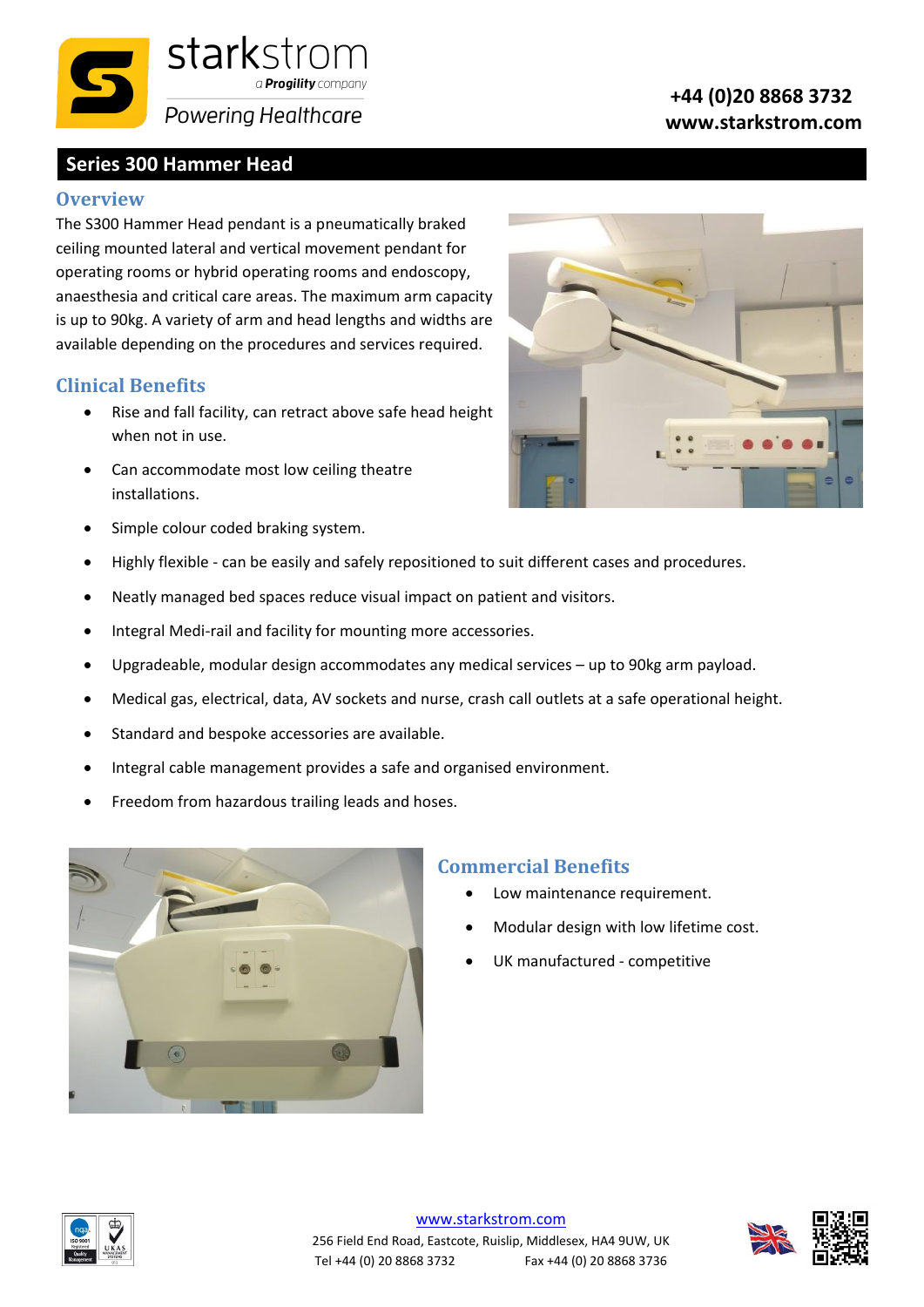

# **Series 300 Hammer Head**

#### **Overview**

The S300 Hammer Head pendant is a pneumatically braked ceiling mounted lateral and vertical movement pendant for operating rooms or hybrid operating rooms and endoscopy, anaesthesia and critical care areas. The maximum arm capacity is up to 90kg. A variety of arm and head lengths and widths are available depending on the procedures and services required.

### **Clinical Benefits**

- Rise and fall facility, can retract above safe head height when not in use.
- Can accommodate most low ceiling theatre installations.
- Simple colour coded braking system.
- Highly flexible can be easily and safely repositioned to suit different cases and procedures.
- Neatly managed bed spaces reduce visual impact on patient and visitors.
- Integral Medi-rail and facility for mounting more accessories.
- Upgradeable, modular design accommodates any medical services up to 90kg arm payload.
- Medical gas, electrical, data, AV sockets and nurse, crash call outlets at a safe operational height.
- Standard and bespoke accessories are available.
- Integral cable management provides a safe and organised environment.
- Freedom from hazardous trailing leads and hoses.



#### **Commercial Benefits**

- Low maintenance requirement.
- Modular design with low lifetime cost.
- UK manufactured competitive





#### **+44 (0)20 8868 3732 www.starkstrom.com**